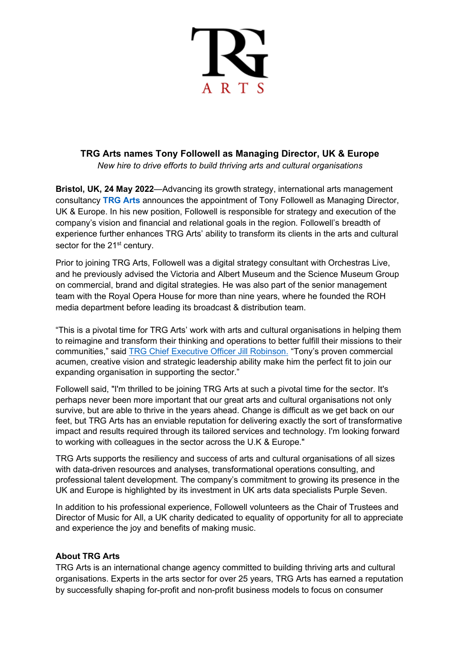

## **TRG Arts names Tony Followell as Managing Director, UK & Europe**

*New hire to drive efforts to build thriving arts and cultural organisations*

**Bristol, UK, 24 May 2022**—Advancing its growth strategy, international arts management consultancy **[TRG Arts](https://trgarts.com/)** announces the appointment of Tony Followell as Managing Director, UK & Europe. In his new position, Followell is responsible for strategy and execution of the company's vision and financial and relational goals in the region. Followell's breadth of experience further enhances TRG Arts' ability to transform its clients in the arts and cultural sector for the 21<sup>st</sup> century.

Prior to joining TRG Arts, Followell was a digital strategy consultant with Orchestras Live, and he previously advised the Victoria and Albert Museum and the Science Museum Group on commercial, brand and digital strategies. He was also part of the senior management team with the Royal Opera House for more than nine years, where he founded the ROH media department before leading its broadcast & distribution team.

"This is a pivotal time for TRG Arts' work with arts and cultural organisations in helping them to reimagine and transform their thinking and operations to better fulfill their missions to their communities," said [TRG Chief Executive Officer Jill Robinson.](https://trgarts.com/about-jill) "Tony's proven commercial acumen, creative vision and strategic leadership ability make him the perfect fit to join our expanding organisation in supporting the sector."

Followell said, "I'm thrilled to be joining TRG Arts at such a pivotal time for the sector. It's perhaps never been more important that our great arts and cultural organisations not only survive, but are able to thrive in the years ahead. Change is difficult as we get back on our feet, but TRG Arts has an enviable reputation for delivering exactly the sort of transformative impact and results required through its tailored services and technology. I'm looking forward to working with colleagues in the sector across the U.K & Europe."

TRG Arts supports the resiliency and success of arts and cultural organisations of all sizes with data-driven resources and analyses, transformational operations consulting, and professional talent development. The company's commitment to growing its presence in the UK and Europe is highlighted by its investment in UK arts data specialists Purple Seven.

In addition to his professional experience, Followell volunteers as the Chair of Trustees and Director of Music for All, a UK charity dedicated to equality of opportunity for all to appreciate and experience the joy and benefits of making music.

## **About TRG Arts**

TRG Arts is an international change agency committed to building thriving arts and cultural organisations. Experts in the arts sector for over 25 years, TRG Arts has earned a reputation by successfully shaping for-profit and non-profit business models to focus on consumer